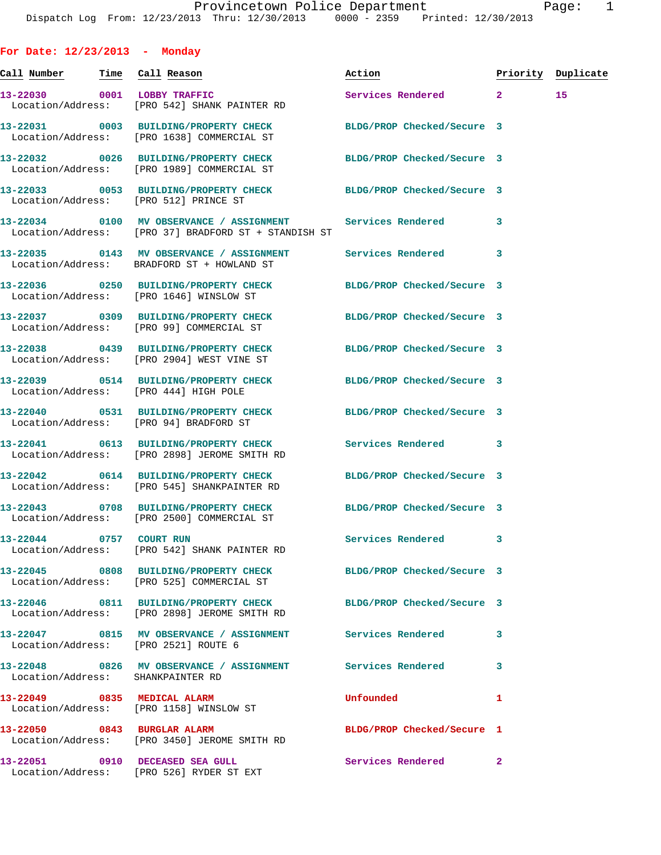**For Date: 12/23/2013 - Monday Call Number Time Call Reason Action Priority Duplicate 13-22030 0001 LOBBY TRAFFIC Services Rendered 2 15**  Location/Address: [PRO 542] SHANK PAINTER RD **13-22031 0003 BUILDING/PROPERTY CHECK BLDG/PROP Checked/Secure 3**  Location/Address: [PRO 1638] COMMERCIAL ST **13-22032 0026 BUILDING/PROPERTY CHECK BLDG/PROP Checked/Secure 3**  Location/Address: [PRO 1989] COMMERCIAL ST **13-22033 0053 BUILDING/PROPERTY CHECK BLDG/PROP Checked/Secure 3**  Location/Address: [PRO 512] PRINCE ST **13-22034 0100 MV OBSERVANCE / ASSIGNMENT Services Rendered 3**  Location/Address: [PRO 37] BRADFORD ST + STANDISH ST **13-22035 0143 MV OBSERVANCE / ASSIGNMENT Services Rendered 3**  Location/Address: BRADFORD ST + HOWLAND ST **13-22036 0250 BUILDING/PROPERTY CHECK BLDG/PROP Checked/Secure 3**  Location/Address: [PRO 1646] WINSLOW ST **13-22037 0309 BUILDING/PROPERTY CHECK BLDG/PROP Checked/Secure 3**  Location/Address: [PRO 99] COMMERCIAL ST **13-22038 0439 BUILDING/PROPERTY CHECK BLDG/PROP Checked/Secure 3**  Location/Address: [PRO 2904] WEST VINE ST **13-22039 0514 BUILDING/PROPERTY CHECK BLDG/PROP Checked/Secure 3**  Location/Address: [PRO 444] HIGH POLE **13-22040 0531 BUILDING/PROPERTY CHECK BLDG/PROP Checked/Secure 3**  Location/Address: [PRO 94] BRADFORD ST **13-22041 0613 BUILDING/PROPERTY CHECK Services Rendered 3**  Location/Address: [PRO 2898] JEROME SMITH RD **13-22042 0614 BUILDING/PROPERTY CHECK BLDG/PROP Checked/Secure 3**  Location/Address: [PRO 545] SHANKPAINTER RD **13-22043 0708 BUILDING/PROPERTY CHECK BLDG/PROP Checked/Secure 3**  Location/Address: [PRO 2500] COMMERCIAL ST **13-22044 0757 COURT RUN Services Rendered 3**  Location/Address: [PRO 542] SHANK PAINTER RD **13-22045 0808 BUILDING/PROPERTY CHECK BLDG/PROP Checked/Secure 3**  Location/Address: [PRO 525] COMMERCIAL ST **13-22046 0811 BUILDING/PROPERTY CHECK BLDG/PROP Checked/Secure 3**  Location/Address: [PRO 2898] JEROME SMITH RD **13-22047 0815 MV OBSERVANCE / ASSIGNMENT Services Rendered 3**  Location/Address: [PRO 2521] ROUTE 6 **13-22048 0826 MV OBSERVANCE / ASSIGNMENT Services Rendered 3**  Location/Address: SHANKPAINTER RD **13-22049 0835 MEDICAL ALARM Unfounded 1**  Location/Address: [PRO 1158] WINSLOW ST **13-22050 0843 BURGLAR ALARM BLDG/PROP Checked/Secure 1**  Location/Address: [PRO 3450] JEROME SMITH RD

Location/Address: [PRO 526] RYDER ST EXT

**13-22051 0910 DECEASED SEA GULL Services Rendered 2**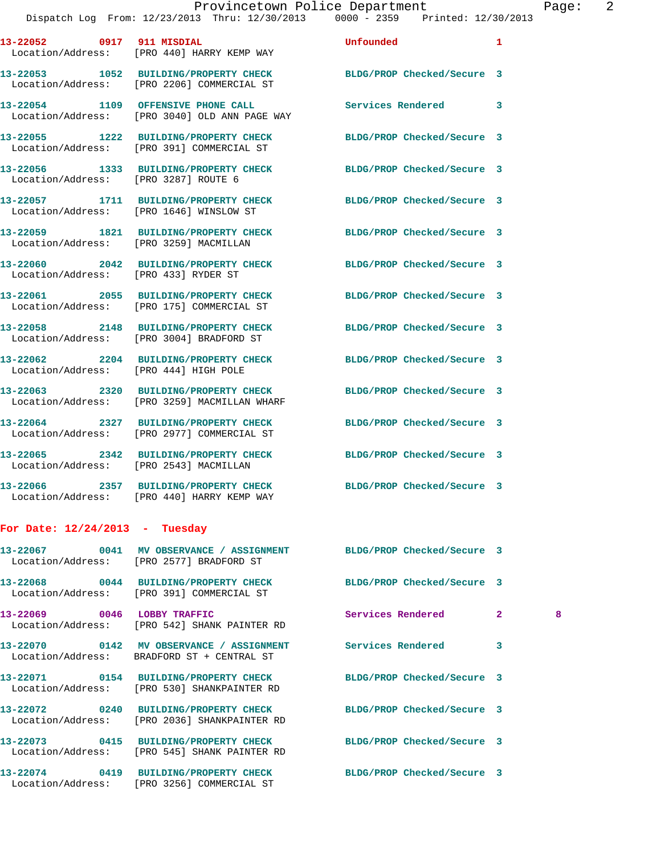|                                         | 13-22052 0917 911 MISDIAL<br>Location/Address: [PRO 440] HARRY KEMP WAY                | Unfounded                  | 1            |   |
|-----------------------------------------|----------------------------------------------------------------------------------------|----------------------------|--------------|---|
|                                         | 13-22053 1052 BUILDING/PROPERTY CHECK<br>Location/Address: [PRO 2206] COMMERCIAL ST    | BLDG/PROP Checked/Secure 3 |              |   |
|                                         | 13-22054 1109 OFFENSIVE PHONE CALL<br>Location/Address: [PRO 3040] OLD ANN PAGE WAY    | Services Rendered          | 3            |   |
|                                         | 13-22055 1222 BUILDING/PROPERTY CHECK<br>Location/Address: [PRO 391] COMMERCIAL ST     | BLDG/PROP Checked/Secure 3 |              |   |
| Location/Address: [PRO 3287] ROUTE 6    | 13-22056 1333 BUILDING/PROPERTY CHECK                                                  | BLDG/PROP Checked/Secure 3 |              |   |
| Location/Address: [PRO 1646] WINSLOW ST | 13-22057 1711 BUILDING/PROPERTY CHECK                                                  | BLDG/PROP Checked/Secure 3 |              |   |
| Location/Address: [PRO 3259] MACMILLAN  | 13-22059 1821 BUILDING/PROPERTY CHECK                                                  | BLDG/PROP Checked/Secure 3 |              |   |
| Location/Address: [PRO 433] RYDER ST    | 13-22060 2042 BUILDING/PROPERTY CHECK                                                  | BLDG/PROP Checked/Secure 3 |              |   |
|                                         | 13-22061 2055 BUILDING/PROPERTY CHECK<br>Location/Address: [PRO 175] COMMERCIAL ST     | BLDG/PROP Checked/Secure 3 |              |   |
|                                         | 13-22058 2148 BUILDING/PROPERTY CHECK<br>Location/Address: [PRO 3004] BRADFORD ST      | BLDG/PROP Checked/Secure 3 |              |   |
| Location/Address: [PRO 444] HIGH POLE   | 13-22062 2204 BUILDING/PROPERTY CHECK                                                  | BLDG/PROP Checked/Secure 3 |              |   |
|                                         | 13-22063 2320 BUILDING/PROPERTY CHECK<br>Location/Address: [PRO 3259] MACMILLAN WHARF  | BLDG/PROP Checked/Secure 3 |              |   |
|                                         | 13-22064 2327 BUILDING/PROPERTY CHECK<br>Location/Address: [PRO 2977] COMMERCIAL ST    | BLDG/PROP Checked/Secure 3 |              |   |
| Location/Address: [PRO 2543] MACMILLAN  | 13-22065 2342 BUILDING/PROPERTY CHECK                                                  | BLDG/PROP Checked/Secure 3 |              |   |
|                                         | 13-22066 2357 BUILDING/PROPERTY CHECK<br>Location/Address: [PRO 440] HARRY KEMP WAY    | BLDG/PROP Checked/Secure 3 |              |   |
| For Date: $12/24/2013$ - Tuesday        |                                                                                        |                            |              |   |
|                                         | 13-22067 0041 MV OBSERVANCE / ASSIGNMENT<br>Location/Address: [PRO 2577] BRADFORD ST   | BLDG/PROP Checked/Secure 3 |              |   |
|                                         | 13-22068 0044 BUILDING/PROPERTY CHECK<br>Location/Address: [PRO 391] COMMERCIAL ST     | BLDG/PROP Checked/Secure 3 |              |   |
| 13-22069 0046 LOBBY TRAFFIC             | Location/Address: [PRO 542] SHANK PAINTER RD                                           | Services Rendered          | $\mathbf{2}$ | 8 |
|                                         | 13-22070 0142 MV OBSERVANCE / ASSIGNMENT<br>Location/Address: BRADFORD ST + CENTRAL ST | <b>Services Rendered</b>   | 3            |   |
|                                         | 13-22071 0154 BUILDING/PROPERTY CHECK<br>Location/Address: [PRO 530] SHANKPAINTER RD   | BLDG/PROP Checked/Secure 3 |              |   |
|                                         | 13-22072 0240 BUILDING/PROPERTY CHECK<br>Location/Address: [PRO 2036] SHANKPAINTER RD  | BLDG/PROP Checked/Secure 3 |              |   |
|                                         | 13-22073 0415 BUILDING/PROPERTY CHECK<br>Location/Address: [PRO 545] SHANK PAINTER RD  | BLDG/PROP Checked/Secure 3 |              |   |
|                                         | 13-22074 0419 BUILDING/PROPERTY CHECK<br>Location/Address: [PRO 3256] COMMERCIAL ST    | BLDG/PROP Checked/Secure 3 |              |   |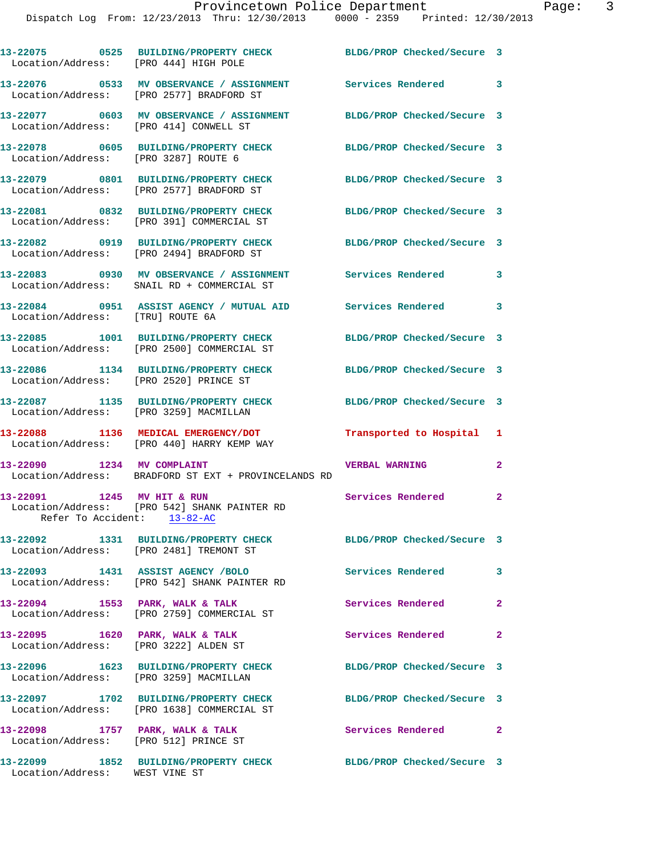| Location/Address: [PRO 444] HIGH POLE   | 13-22075 0525 BUILDING/PROPERTY CHECK                                                  | BLDG/PROP Checked/Secure 3 |                |
|-----------------------------------------|----------------------------------------------------------------------------------------|----------------------------|----------------|
|                                         | 13-22076 0533 MV OBSERVANCE / ASSIGNMENT<br>Location/Address: [PRO 2577] BRADFORD ST   | <b>Services Rendered</b>   | 3              |
| Location/Address:                       | 13-22077 0603 MV OBSERVANCE / ASSIGNMENT<br>[PRO 414] CONWELL ST                       | BLDG/PROP Checked/Secure 3 |                |
| Location/Address: [PRO 3287] ROUTE 6    | 13-22078 0605 BUILDING/PROPERTY CHECK                                                  | BLDG/PROP Checked/Secure 3 |                |
|                                         | 13-22079 0801 BUILDING/PROPERTY CHECK<br>Location/Address: [PRO 2577] BRADFORD ST      | BLDG/PROP Checked/Secure 3 |                |
|                                         | 13-22081 0832 BUILDING/PROPERTY CHECK<br>Location/Address: [PRO 391] COMMERCIAL ST     | BLDG/PROP Checked/Secure 3 |                |
|                                         | 13-22082 0919 BUILDING/PROPERTY CHECK<br>Location/Address: [PRO 2494] BRADFORD ST      | BLDG/PROP Checked/Secure 3 |                |
|                                         | 13-22083 0930 MV OBSERVANCE / ASSIGNMENT<br>Location/Address: SNAIL RD + COMMERCIAL ST | <b>Services Rendered</b>   | 3              |
| Location/Address: [TRU] ROUTE 6A        | 13-22084 0951 ASSIST AGENCY / MUTUAL AID                                               | <b>Services Rendered</b>   | 3              |
|                                         | 13-22085 1001 BUILDING/PROPERTY CHECK<br>Location/Address: [PRO 2500] COMMERCIAL ST    | BLDG/PROP Checked/Secure 3 |                |
| Location/Address:                       | 13-22086 1134 BUILDING/PROPERTY CHECK<br>[PRO 2520] PRINCE ST                          | BLDG/PROP Checked/Secure 3 |                |
| Location/Address:                       | 13-22087 1135 BUILDING/PROPERTY CHECK<br>[PRO 3259] MACMILLAN                          | BLDG/PROP Checked/Secure 3 |                |
|                                         | 13-22088 1136 MEDICAL EMERGENCY/DOT<br>Location/Address: [PRO 440] HARRY KEMP WAY      | Transported to Hospital 1  |                |
|                                         | 13-22090 1234 MV COMPLAINT<br>Location/Address: BRADFORD ST EXT + PROVINCELANDS RD     | <b>VERBAL WARNING</b>      | $\mathbf{2}$   |
| 13-22091<br>Refer To Accident: 13-82-AC | 1245 MV HIT & RUN<br>Location/Address: [PRO 542] SHANK PAINTER RD                      | Services Rendered          | $\mathbf{2}$   |
|                                         | 13-22092 1331 BUILDING/PROPERTY CHECK<br>Location/Address: [PRO 2481] TREMONT ST       | BLDG/PROP Checked/Secure 3 |                |
|                                         | Location/Address: [PRO 542] SHANK PAINTER RD                                           | Services Rendered          | 3              |
| 13-22094 1553 PARK, WALK & TALK         | Location/Address: [PRO 2759] COMMERCIAL ST                                             | Services Rendered          | $\mathbf{2}$   |
| 13-22095 1620 PARK, WALK & TALK         | Location/Address: [PRO 3222] ALDEN ST                                                  | Services Rendered          | $\overline{2}$ |
| Location/Address: [PRO 3259] MACMILLAN  | 13-22096 1623 BUILDING/PROPERTY CHECK                                                  | BLDG/PROP Checked/Secure 3 |                |
|                                         | 13-22097 1702 BUILDING/PROPERTY CHECK<br>Location/Address: [PRO 1638] COMMERCIAL ST    | BLDG/PROP Checked/Secure 3 |                |
| Location/Address: [PRO 512] PRINCE ST   | 13-22098 1757 PARK, WALK & TALK                                                        | Services Rendered 2        |                |
| 13-22099                                | 1852 BUILDING/PROPERTY CHECK                                                           | BLDG/PROP Checked/Secure 3 |                |

Location/Address: WEST VINE ST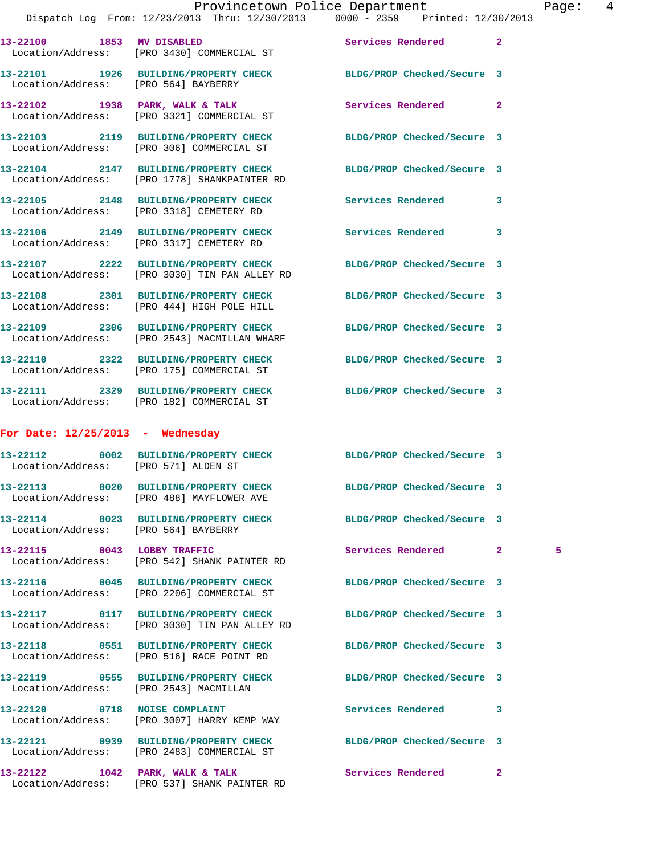|                                      | Dispatch Log From: 12/23/2013 Thru: 12/30/2013 0000 - 2359 Printed: 12/30/2013                                    | Provincetown Police Department |              | Pag |
|--------------------------------------|-------------------------------------------------------------------------------------------------------------------|--------------------------------|--------------|-----|
|                                      | 13-22100 1853 MV DISABLED<br>Location/Address: [PRO 3430] COMMERCIAL ST                                           | Services Rendered              | $\mathbf{2}$ |     |
| Location/Address: [PRO 564] BAYBERRY | 13-22101 1926 BUILDING/PROPERTY CHECK BLDG/PROP Checked/Secure 3                                                  |                                |              |     |
|                                      | 13-22102 1938 PARK, WALK & TALK<br>Location/Address: [PRO 3321] COMMERCIAL ST                                     | Services Rendered              | $\mathbf{2}$ |     |
|                                      | 13-22103 2119 BUILDING/PROPERTY CHECK BLDG/PROP Checked/Secure 3<br>Location/Address: [PRO 306] COMMERCIAL ST     |                                |              |     |
|                                      | 13-22104 2147 BUILDING/PROPERTY CHECK BLDG/PROP Checked/Secure 3<br>Location/Address: [PRO 1778] SHANKPAINTER RD  |                                |              |     |
|                                      | 13-22105 2148 BUILDING/PROPERTY CHECK<br>Location/Address: [PRO 3318] CEMETERY RD                                 | Services Rendered              | 3            |     |
|                                      | 13-22106 2149 BUILDING/PROPERTY CHECK<br>Location/Address: [PRO 3317] CEMETERY RD                                 | Services Rendered              | 3            |     |
|                                      | 13-22107 2222 BUILDING/PROPERTY CHECK BLDG/PROP Checked/Secure 3<br>Location/Address: [PRO 3030] TIN PAN ALLEY RD |                                |              |     |
|                                      | 13-22108 2301 BUILDING/PROPERTY CHECK BLDG/PROP Checked/Secure 3<br>Location/Address: [PRO 444] HIGH POLE HILL    |                                |              |     |
|                                      | 13-22109 2306 BUILDING/PROPERTY CHECK BLDG/PROP Checked/Secure 3<br>Location/Address: [PRO 2543] MACMILLAN WHARF  |                                |              |     |
|                                      | 13-22110 2322 BUILDING/PROPERTY CHECK BLDG/PROP Checked/Secure 3<br>Location/Address: [PRO 175] COMMERCIAL ST     |                                |              |     |
|                                      | 13-22111 2329 BUILDING/PROPERTY CHECK BLDG/PROP Checked/Secure 3<br>Location/Address: [PRO 182] COMMERCIAL ST     |                                |              |     |
| For Date: $12/25/2013$ - Wednesday   |                                                                                                                   |                                |              |     |
| Location/Address: [PRO 571] ALDEN ST | 13-22112 0002 BUILDING/PROPERTY CHECK BLDG/PROP Checked/Secure 3                                                  |                                |              |     |
|                                      | 13-22113 0020 BUILDING/PROPERTY CHECK<br>Location/Address: [PRO 488] MAYFLOWER AVE                                | BLDG/PROP Checked/Secure 3     |              |     |
| Location/Address: [PRO 564] BAYBERRY | 13-22114 0023 BUILDING/PROPERTY CHECK BLDG/PROP Checked/Secure 3                                                  |                                |              |     |
| 13-22115 0043 LOBBY TRAFFIC          | Location/Address: [PRO 542] SHANK PAINTER RD                                                                      | Services Rendered              | $\mathbf{2}$ | 5   |
|                                      | 13-22116 0045 BUILDING/PROPERTY CHECK<br>Location/Address: [PRO 2206] COMMERCIAL ST                               | BLDG/PROP Checked/Secure 3     |              |     |
|                                      | 13-22117 0117 BUILDING/PROPERTY CHECK BLDG/PROP Checked/Secure 3<br>Location/Address: [PRO 3030] TIN PAN ALLEY RD |                                |              |     |
|                                      | 13-22118 0551 BUILDING/PROPERTY CHECK<br>Location/Address: [PRO 516] RACE POINT RD                                | BLDG/PROP Checked/Secure 3     |              |     |
|                                      | 13-22119 0555 BUILDING/PROPERTY CHECK BLDG/PROP Checked/Secure 3<br>Location/Address: [PRO 2543] MACMILLAN        |                                |              |     |
|                                      | 13-22120 0718 NOISE COMPLAINT<br>Location/Address: [PRO 3007] HARRY KEMP WAY                                      | Services Rendered              | 3            |     |
|                                      | 13-22121 0939 BUILDING/PROPERTY CHECK BLDG/PROP Checked/Secure 3<br>Location/Address: [PRO 2483] COMMERCIAL ST    |                                |              |     |

**13-22122 1042 PARK, WALK & TALK Services Rendered 2** 

Location/Address: [PRO 537] SHANK PAINTER RD

Page: 4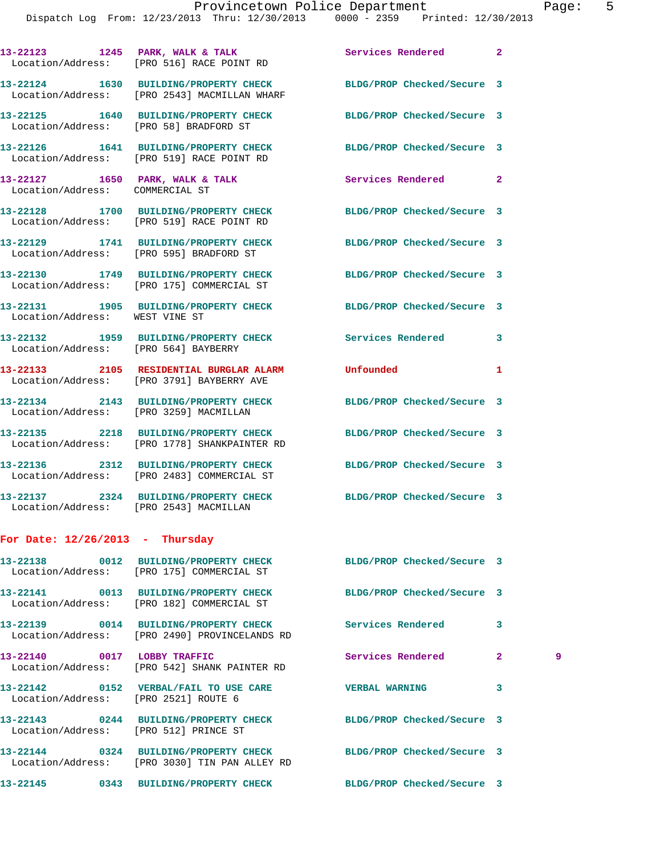|                                   | 13-22123 1245 PARK, WALK & TALK<br>Location/Address: [PRO 516] RACE POINT RD                                     | Services Rendered          | $\overline{2}$ |   |
|-----------------------------------|------------------------------------------------------------------------------------------------------------------|----------------------------|----------------|---|
|                                   | 13-22124 1630 BUILDING/PROPERTY CHECK BLDG/PROP Checked/Secure 3<br>Location/Address: [PRO 2543] MACMILLAN WHARF |                            |                |   |
|                                   | 13-22125 1640 BUILDING/PROPERTY CHECK<br>Location/Address: [PRO 58] BRADFORD ST                                  | BLDG/PROP Checked/Secure 3 |                |   |
|                                   | 13-22126 1641 BUILDING/PROPERTY CHECK BLDG/PROP Checked/Secure 3<br>Location/Address: [PRO 519] RACE POINT RD    |                            |                |   |
| Location/Address: COMMERCIAL ST   | 13-22127 1650 PARK, WALK & TALK                                                                                  | Services Rendered          | $\overline{2}$ |   |
|                                   | 13-22128 1700 BUILDING/PROPERTY CHECK BLDG/PROP Checked/Secure 3<br>Location/Address: [PRO 519] RACE POINT RD    |                            |                |   |
|                                   | 13-22129 1741 BUILDING/PROPERTY CHECK BLDG/PROP Checked/Secure 3<br>Location/Address: [PRO 595] BRADFORD ST      |                            |                |   |
|                                   | 13-22130 1749 BUILDING/PROPERTY CHECK BLDG/PROP Checked/Secure 3<br>Location/Address: [PRO 175] COMMERCIAL ST    |                            |                |   |
| Location/Address: WEST VINE ST    | 13-22131 1905 BUILDING/PROPERTY CHECK BLDG/PROP Checked/Secure 3                                                 |                            |                |   |
|                                   | 13-22132 1959 BUILDING/PROPERTY CHECK Services Rendered<br>Location/Address: [PRO 564] BAYBERRY                  |                            | 3              |   |
|                                   | 13-22133 2105 RESIDENTIAL BURGLAR ALARM Unfounded<br>Location/Address: [PRO 3791] BAYBERRY AVE                   |                            | 1              |   |
|                                   | 13-22134 2143 BUILDING/PROPERTY CHECK BLDG/PROP Checked/Secure 3<br>Location/Address: [PRO 3259] MACMILLAN       |                            |                |   |
|                                   | 13-22135 2218 BUILDING/PROPERTY CHECK<br>Location/Address: [PRO 1778] SHANKPAINTER RD                            | BLDG/PROP Checked/Secure 3 |                |   |
|                                   | 13-22136 2312 BUILDING/PROPERTY CHECK<br>Location/Address: [PRO 2483] COMMERCIAL ST                              | BLDG/PROP Checked/Secure 3 |                |   |
|                                   | 13-22137 2324 BUILDING/PROPERTY CHECK BLDG/PROP Checked/Secure 3<br>Location/Address: [PRO 2543] MACMILLAN       |                            |                |   |
| For Date: $12/26/2013$ - Thursday |                                                                                                                  |                            |                |   |
|                                   | 13-22138 0012 BUILDING/PROPERTY CHECK<br>Location/Address: [PRO 175] COMMERCIAL ST                               | BLDG/PROP Checked/Secure 3 |                |   |
|                                   | 13-22141 0013 BUILDING/PROPERTY CHECK<br>Location/Address: [PRO 182] COMMERCIAL ST                               | BLDG/PROP Checked/Secure 3 |                |   |
|                                   | 13-22139 0014 BUILDING/PROPERTY CHECK<br>Location/Address: [PRO 2490] PROVINCELANDS RD                           | Services Rendered          | 3              |   |
|                                   | 13-22140 0017 LOBBY TRAFFIC<br>Location/Address: [PRO 542] SHANK PAINTER RD                                      | Services Rendered          | $\mathbf{2}$   | 9 |
|                                   | 13-22142 0152 VERBAL/FAIL TO USE CARE<br>Location/Address: [PRO 2521] ROUTE 6                                    | <b>VERBAL WARNING</b>      | 3              |   |
|                                   | 13-22143 0244 BUILDING/PROPERTY CHECK BLDG/PROP Checked/Secure 3<br>Location/Address: [PRO 512] PRINCE ST        |                            |                |   |
|                                   | 13-22144 0324 BUILDING/PROPERTY CHECK<br>Location/Address: [PRO 3030] TIN PAN ALLEY RD                           | BLDG/PROP Checked/Secure 3 |                |   |
|                                   | 13-22145 0343 BUILDING/PROPERTY CHECK BLDG/PROP Checked/Secure 3                                                 |                            |                |   |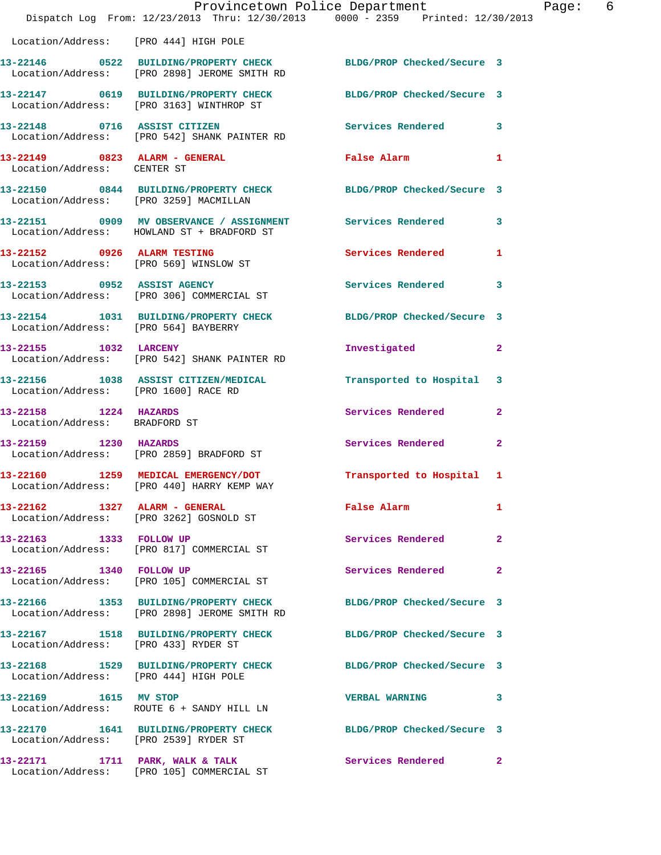|                                                        | Provincetown Police Department<br>Dispatch Log From: 12/23/2013 Thru: 12/30/2013 0000 - 2359 Printed: 12/30/2013 |                            | Page: 6      |
|--------------------------------------------------------|------------------------------------------------------------------------------------------------------------------|----------------------------|--------------|
| Location/Address: [PRO 444] HIGH POLE                  |                                                                                                                  |                            |              |
|                                                        | 13-22146 0522 BUILDING/PROPERTY CHECK BLDG/PROP Checked/Secure 3<br>Location/Address: [PRO 2898] JEROME SMITH RD |                            |              |
|                                                        | 13-22147 0619 BUILDING/PROPERTY CHECK BLDG/PROP Checked/Secure 3<br>Location/Address: [PRO 3163] WINTHROP ST     |                            |              |
|                                                        | 13-22148 0716 ASSIST CITIZEN<br>Location/Address: [PRO 542] SHANK PAINTER RD                                     | Services Rendered 3        |              |
| Location/Address: CENTER ST                            | 13-22149 0823 ALARM - GENERAL False Alarm 1                                                                      |                            |              |
|                                                        | 13-22150 0844 BUILDING/PROPERTY CHECK BLDG/PROP Checked/Secure 3<br>Location/Address: [PRO 3259] MACMILLAN       |                            |              |
|                                                        | 13-22151 0909 MV OBSERVANCE / ASSIGNMENT Services Rendered 3<br>Location/Address: HOWLAND ST + BRADFORD ST       |                            |              |
|                                                        | 13-22152 0926 ALARM TESTING<br>Location/Address: [PRO 569] WINSLOW ST                                            | Services Rendered 1        |              |
|                                                        | 13-22153 0952 ASSIST AGENCY<br>Location/Address: [PRO 306] COMMERCIAL ST                                         | Services Rendered 3        |              |
|                                                        | 13-22154 1031 BUILDING/PROPERTY CHECK BLDG/PROP Checked/Secure 3<br>Location/Address: [PRO 564] BAYBERRY         |                            |              |
|                                                        | 13-22155 1032 LARCENY<br>Location/Address: [PRO 542] SHANK PAINTER RD                                            | Investigated               | $\mathbf{2}$ |
| Location/Address: [PRO 1600] RACE RD                   | 13-22156 1038 ASSIST CITIZEN/MEDICAL Transported to Hospital 3                                                   |                            |              |
| 13-22158 1224 HAZARDS<br>Location/Address: BRADFORD ST |                                                                                                                  | Services Rendered 2        |              |
| 13-22159 1230 HAZARDS                                  | Location/Address: [PRO 2859] BRADFORD ST                                                                         | Services Rendered 2        |              |
|                                                        | 13-22160 1259 MEDICAL EMERGENCY/DOT Transported to Hospital 1<br>Location/Address: [PRO 440] HARRY KEMP WAY      |                            |              |
| 13-22162 1327 ALARM - GENERAL                          | Location/Address: [PRO 3262] GOSNOLD ST                                                                          | False Alarm                | 1            |
|                                                        | 13-22163 1333 FOLLOW UP<br>Location/Address: [PRO 817] COMMERCIAL ST                                             | Services Rendered          | $\mathbf{2}$ |
| 13-22165 1340 FOLLOW UP                                | Location/Address: [PRO 105] COMMERCIAL ST                                                                        | Services Rendered 2        |              |
|                                                        | 13-22166 1353 BUILDING/PROPERTY CHECK<br>Location/Address: [PRO 2898] JEROME SMITH RD                            | BLDG/PROP Checked/Secure 3 |              |
| Location/Address: [PRO 433] RYDER ST                   | 13-22167 1518 BUILDING/PROPERTY CHECK BLDG/PROP Checked/Secure 3                                                 |                            |              |
| Location/Address: [PRO 444] HIGH POLE                  | 13-22168 1529 BUILDING/PROPERTY CHECK BLDG/PROP Checked/Secure 3                                                 |                            |              |
| 13-22169 1615 MV STOP                                  | Location/Address: ROUTE 6 + SANDY HILL LN                                                                        | VERBAL WARNING 3           |              |
| Location/Address: [PRO 2539] RYDER ST                  | 13-22170 1641 BUILDING/PROPERTY CHECK BLDG/PROP Checked/Secure 3                                                 |                            |              |
|                                                        | 13-22171 1711 PARK, WALK & TALK 1997 Services Rendered 2<br>Location/Address: [PRO 105] COMMERCIAL ST            |                            |              |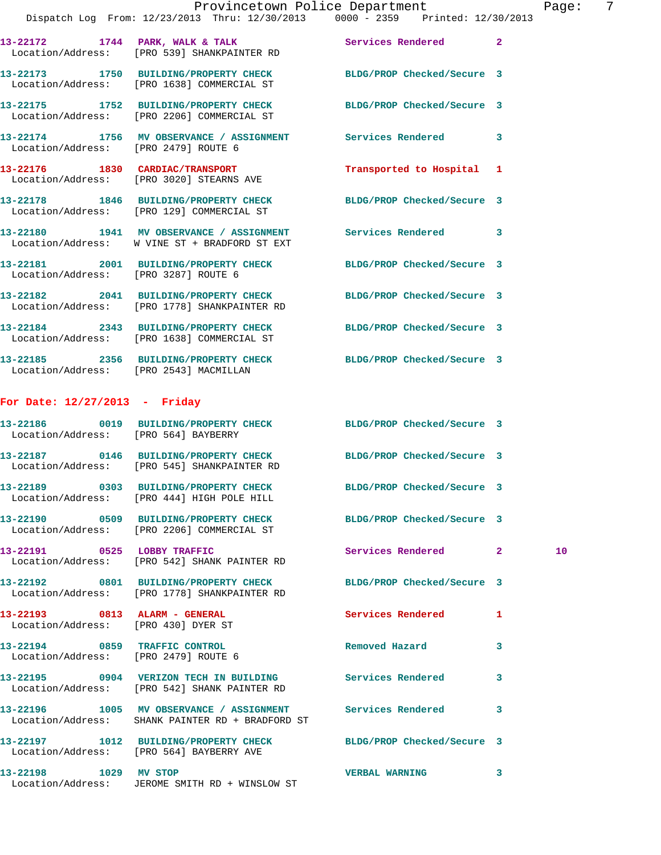|                                                                      | Provincetown Police Department<br>Dispatch Log From: 12/23/2013 Thru: 12/30/2013 0000 - 2359 Printed: 12/30/2013 |                            | Page: 7      |
|----------------------------------------------------------------------|------------------------------------------------------------------------------------------------------------------|----------------------------|--------------|
|                                                                      | 13-22172 1744 PARK, WALK & TALK Services Rendered 2<br>Location/Address: [PRO 539] SHANKPAINTER RD               |                            |              |
|                                                                      | 13-22173 1750 BUILDING/PROPERTY CHECK BLDG/PROP Checked/Secure 3<br>Location/Address: [PRO 1638] COMMERCIAL ST   |                            |              |
|                                                                      | 13-22175 1752 BUILDING/PROPERTY CHECK BLDG/PROP Checked/Secure 3<br>Location/Address: [PRO 2206] COMMERCIAL ST   |                            |              |
| Location/Address: [PRO 2479] ROUTE 6                                 | 13-22174 1756 MV OBSERVANCE / ASSIGNMENT Services Rendered 3                                                     |                            |              |
|                                                                      | 13-22176 1830 CARDIAC/TRANSPORT<br>Location/Address: [PRO 3020] STEARNS AVE                                      | Transported to Hospital 1  |              |
|                                                                      | 13-22178 1846 BUILDING/PROPERTY CHECK BLDG/PROP Checked/Secure 3<br>Location/Address: [PRO 129] COMMERCIAL ST    |                            |              |
|                                                                      | 13-22180 1941 MV OBSERVANCE / ASSIGNMENT Services Rendered<br>Location/Address: W VINE ST + BRADFORD ST EXT      |                            | $\mathbf{3}$ |
| Location/Address: [PRO 3287] ROUTE 6                                 | 13-22181 2001 BUILDING/PROPERTY CHECK BLDG/PROP Checked/Secure 3                                                 |                            |              |
|                                                                      | 13-22182 2041 BUILDING/PROPERTY CHECK<br>Location/Address: [PRO 1778] SHANKPAINTER RD                            | BLDG/PROP Checked/Secure 3 |              |
|                                                                      | 13-22184 2343 BUILDING/PROPERTY CHECK BLDG/PROP Checked/Secure 3<br>Location/Address: [PRO 1638] COMMERCIAL ST   |                            |              |
|                                                                      | 13-22185 2356 BUILDING/PROPERTY CHECK BLDG/PROP Checked/Secure 3<br>Location/Address: [PRO 2543] MACMILLAN       |                            |              |
| For Date: $12/27/2013$ - Friday                                      |                                                                                                                  |                            |              |
|                                                                      | 13-22186 0019 BUILDING/PROPERTY CHECK BLDG/PROP Checked/Secure 3<br>Location/Address: [PRO 564] BAYBERRY         |                            |              |
|                                                                      | 13-22187 0146 BUILDING/PROPERTY CHECK BLDG/PROP Checked/Secure 3<br>Location/Address: [PRO 545] SHANKPAINTER RD  |                            |              |
|                                                                      | 13-22189 0303 BUILDING/PROPERTY CHECK<br>Location/Address: [PRO 444] HIGH POLE HILL                              | BLDG/PROP Checked/Secure 3 |              |
|                                                                      | 13-22190 0509 BUILDING/PROPERTY CHECK BLDG/PROP Checked/Secure 3<br>Location/Address: [PRO 2206] COMMERCIAL ST   |                            |              |
|                                                                      | 13-22191 0525 LOBBY TRAFFIC<br>Location/Address: [PRO 542] SHANK PAINTER RD                                      | Services Rendered 2        | 10           |
|                                                                      | 13-22192 0801 BUILDING/PROPERTY CHECK BLDG/PROP Checked/Secure 3<br>Location/Address: [PRO 1778] SHANKPAINTER RD |                            |              |
| 13-22193 0813 ALARM - GENERAL<br>Location/Address: [PRO 430] DYER ST |                                                                                                                  | Services Rendered          | $\mathbf{1}$ |
| Location/Address: [PRO 2479] ROUTE 6                                 | 13-22194 0859 TRAFFIC CONTROL                                                                                    | Removed Hazard             | 3            |
|                                                                      | 13-22195 0904 VERIZON TECH IN BUILDING Services Rendered<br>Location/Address: [PRO 542] SHANK PAINTER RD         |                            | 3            |
|                                                                      | 13-22196 1005 MV OBSERVANCE / ASSIGNMENT Services Rendered<br>Location/Address: SHANK PAINTER RD + BRADFORD ST   |                            | 3            |
|                                                                      | 13-22197 1012 BUILDING/PROPERTY CHECK<br>Location/Address: [PRO 564] BAYBERRY AVE                                | BLDG/PROP Checked/Secure 3 |              |
| 13-22198 1029 MV STOP                                                |                                                                                                                  | <b>VERBAL WARNING</b>      | 3            |

Location/Address: JEROME SMITH RD + WINSLOW ST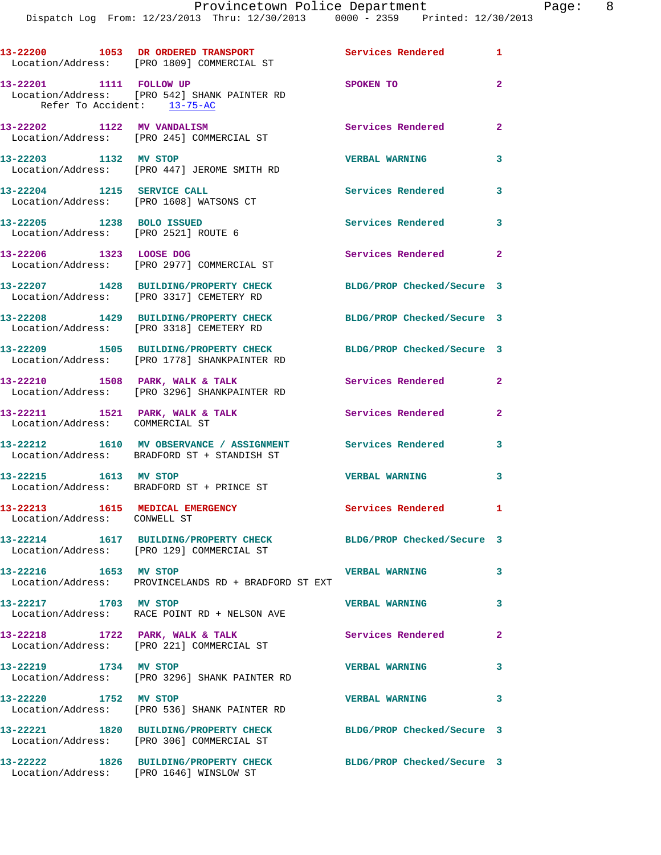Dispatch Log From: 12/23/2013 Thru: 12/30/2013 0000 - 2359 Printed: 12/30/2013

|                                                                    | 13-22200 1053 DR ORDERED TRANSPORT<br>Location/Address: [PRO 1809] COMMERCIAL ST                              | <b>Services Rendered</b> 1  |                |
|--------------------------------------------------------------------|---------------------------------------------------------------------------------------------------------------|-----------------------------|----------------|
| 13-22201 1111 FOLLOW UP<br>Refer To Accident: $13-75-AC$           | Location/Address: [PRO 542] SHANK PAINTER RD                                                                  | <b>SPOKEN TO</b>            | $\overline{a}$ |
|                                                                    | 13-22202 1122 MV VANDALISM<br>Location/Address: [PRO 245] COMMERCIAL ST                                       | <b>Services Rendered 22</b> |                |
| 13-22203 1132 MV STOP                                              | Location/Address: [PRO 447] JEROME SMITH RD                                                                   | <b>VERBAL WARNING</b>       | 3              |
| 13-22204 1215 SERVICE CALL                                         | Location/Address: [PRO 1608] WATSONS CT                                                                       | <b>Services Rendered</b>    | 3              |
| 13-22205 1238 BOLO ISSUED<br>Location/Address: [PRO 2521] ROUTE 6  |                                                                                                               | Services Rendered           | 3              |
| 13-22206 1323 LOOSE DOG                                            | Location/Address: [PRO 2977] COMMERCIAL ST                                                                    | Services Rendered           | $\mathbf{2}$   |
|                                                                    | 13-22207 1428 BUILDING/PROPERTY CHECK<br>Location/Address: [PRO 3317] CEMETERY RD                             | BLDG/PROP Checked/Secure 3  |                |
|                                                                    | 13-22208 1429 BUILDING/PROPERTY CHECK<br>Location/Address: [PRO 3318] CEMETERY RD                             | BLDG/PROP Checked/Secure 3  |                |
|                                                                    | 13-22209 1505 BUILDING/PROPERTY CHECK<br>Location/Address: [PRO 1778] SHANKPAINTER RD                         | BLDG/PROP Checked/Secure 3  |                |
|                                                                    | 13-22210 1508 PARK, WALK & TALK<br>Location/Address: [PRO 3296] SHANKPAINTER RD                               | Services Rendered           | $\overline{2}$ |
| 13-22211 1521 PARK, WALK & TALK<br>Location/Address: COMMERCIAL ST |                                                                                                               | Services Rendered           | $\overline{a}$ |
|                                                                    | 13-22212 1610 MV OBSERVANCE / ASSIGNMENT Services Rendered<br>Location/Address: BRADFORD ST + STANDISH ST     |                             | 3              |
| 13-22215 1613 MV STOP                                              | Location/Address: BRADFORD ST + PRINCE ST                                                                     | <b>VERBAL WARNING</b>       | 3              |
| 13-22213<br>Location/Address: CONWELL ST                           | 1615 MEDICAL EMERGENCY                                                                                        | Services Rendered 1         |                |
|                                                                    | 13-22214 1617 BUILDING/PROPERTY CHECK BLDG/PROP Checked/Secure 3<br>Location/Address: [PRO 129] COMMERCIAL ST |                             |                |
| 13-22216 1653 MV STOP                                              | Location/Address: PROVINCELANDS RD + BRADFORD ST EXT                                                          | <b>VERBAL WARNING</b>       | 3              |
| 13-22217 1703 MV STOP                                              | Location/Address: RACE POINT RD + NELSON AVE                                                                  | <b>VERBAL WARNING</b>       | 3              |
|                                                                    | 13-22218 1722 PARK, WALK & TALK<br>Location/Address: [PRO 221] COMMERCIAL ST                                  | Services Rendered           | $\overline{a}$ |
| 13-22219 1734 MV STOP                                              | Location/Address: [PRO 3296] SHANK PAINTER RD                                                                 | <b>VERBAL WARNING</b>       | 3              |
| 13-22220 1752 MV STOP                                              | Location/Address: [PRO 536] SHANK PAINTER RD                                                                  | <b>VERBAL WARNING</b>       | 3              |
|                                                                    | 13-22221 1820 BUILDING/PROPERTY CHECK<br>Location/Address: [PRO 306] COMMERCIAL ST                            | BLDG/PROP Checked/Secure 3  |                |
|                                                                    | 13-22222 1826 BUILDING/PROPERTY CHECK<br>Location/Address: [PRO 1646] WINSLOW ST                              | BLDG/PROP Checked/Secure 3  |                |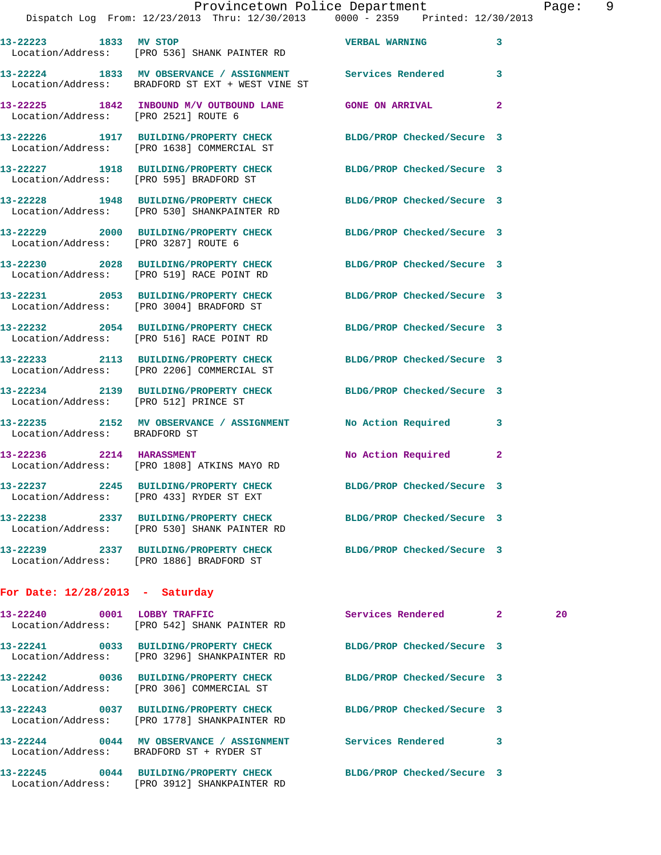| 13-22223 1833 MV STOP                 | Location/Address: [PRO 536] SHANK PAINTER RD                                                                    | <b>VERBAL WARNING</b>      | 3              |    |
|---------------------------------------|-----------------------------------------------------------------------------------------------------------------|----------------------------|----------------|----|
|                                       | 13-22224 1833 MV OBSERVANCE / ASSIGNMENT Services Rendered<br>Location/Address: BRADFORD ST EXT + WEST VINE ST  |                            | 3              |    |
| Location/Address: [PRO 2521] ROUTE 6  | 13-22225 1842 INBOUND M/V OUTBOUND LANE GONE ON ARRIVAL                                                         |                            | $\overline{a}$ |    |
|                                       | 13-22226 1917 BUILDING/PROPERTY CHECK BLDG/PROP Checked/Secure 3<br>Location/Address: [PRO 1638] COMMERCIAL ST  |                            |                |    |
|                                       | 13-22227 1918 BUILDING/PROPERTY CHECK BLDG/PROP Checked/Secure 3<br>Location/Address: [PRO 595] BRADFORD ST     |                            |                |    |
|                                       | 13-22228 1948 BUILDING/PROPERTY CHECK BLDG/PROP Checked/Secure 3<br>Location/Address: [PRO 530] SHANKPAINTER RD |                            |                |    |
| Location/Address: [PRO 3287] ROUTE 6  | 13-22229 2000 BUILDING/PROPERTY CHECK BLDG/PROP Checked/Secure 3                                                |                            |                |    |
|                                       | 13-22230 2028 BUILDING/PROPERTY CHECK BLDG/PROP Checked/Secure 3<br>Location/Address: [PRO 519] RACE POINT RD   |                            |                |    |
|                                       | 13-22231 2053 BUILDING/PROPERTY CHECK<br>Location/Address: [PRO 3004] BRADFORD ST                               | BLDG/PROP Checked/Secure 3 |                |    |
|                                       | 13-22232 2054 BUILDING/PROPERTY CHECK BLDG/PROP Checked/Secure 3<br>Location/Address: [PRO 516] RACE POINT RD   |                            |                |    |
|                                       | 13-22233 2113 BUILDING/PROPERTY CHECK<br>Location/Address: [PRO 2206] COMMERCIAL ST                             | BLDG/PROP Checked/Secure 3 |                |    |
| Location/Address: [PRO 512] PRINCE ST | 13-22234 2139 BUILDING/PROPERTY CHECK BLDG/PROP Checked/Secure 3                                                |                            |                |    |
| Location/Address: BRADFORD ST         | 13-22235 2152 MV OBSERVANCE / ASSIGNMENT No Action Required                                                     |                            | 3              |    |
| 13-22236 2214 HARASSMENT              | Location/Address: [PRO 1808] ATKINS MAYO RD                                                                     | No Action Required         | $\overline{2}$ |    |
|                                       | 13-22237 2245 BUILDING/PROPERTY CHECK BLDG/PROP Checked/Secure 3<br>Location/Address: [PRO 433] RYDER ST EXT    |                            |                |    |
| 13-22238                              | 2337 BUILDING/PROPERTY CHECK<br>Location/Address: [PRO 530] SHANK PAINTER RD                                    | BLDG/PROP Checked/Secure 3 |                |    |
| 13-22239                              | 2337 BUILDING/PROPERTY CHECK<br>Location/Address: [PRO 1886] BRADFORD ST                                        | BLDG/PROP Checked/Secure 3 |                |    |
| For Date: $12/28/2013$ - Saturday     |                                                                                                                 |                            |                |    |
| 13-22240                              | 0001 LOBBY TRAFFIC<br>Location/Address: [PRO 542] SHANK PAINTER RD                                              | Services Rendered          | $\mathbf{2}$   | 20 |
|                                       | 13-22241 0033 BUILDING/PROPERTY CHECK<br>Location/Address: [PRO 3296] SHANKPAINTER RD                           | BLDG/PROP Checked/Secure 3 |                |    |
| 13-22242                              | 0036 BUILDING/PROPERTY CHECK                                                                                    | BLDG/PROP Checked/Secure 3 |                |    |

Location/Address: [PRO 306] COMMERCIAL ST

**13-22243 0037 BUILDING/PROPERTY CHECK BLDG/PROP Checked/Secure 3**  Location/Address: [PRO 1778] SHANKPAINTER RD

Location/Address: BRADFORD ST + RYDER ST

Location/Address: [PRO 3912] SHANKPAINTER RD

**13-22245 0044 BUILDING/PROPERTY CHECK BLDG/PROP Checked/Secure 3** 

**13-22244 0044 MV OBSERVANCE / ASSIGNMENT Services Rendered 3**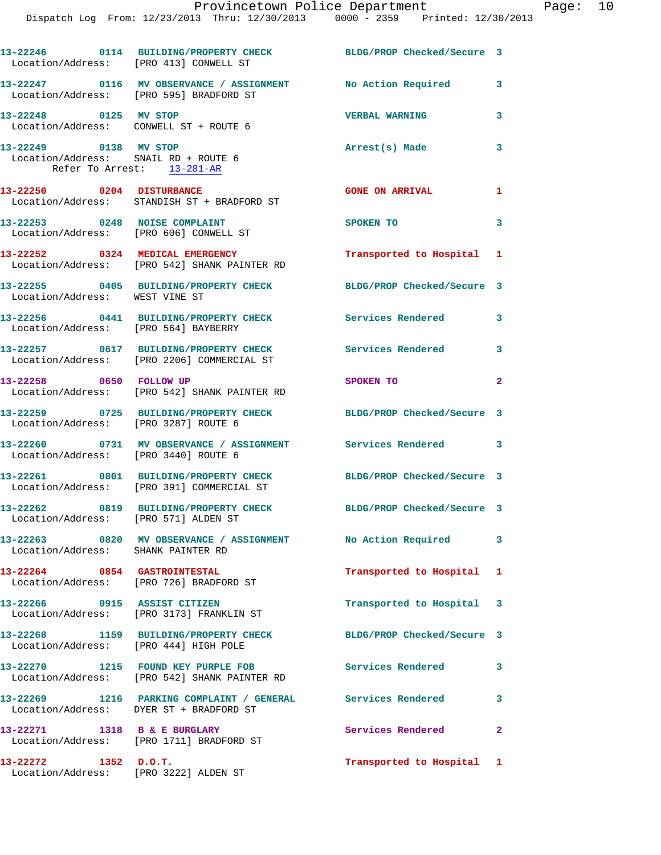| Location/Address: [PRO 413] CONWELL ST                                                      | 13-22246 0114 BUILDING/PROPERTY CHECK BLDG/PROP Checked/Secure 3                                         |                            |                            |
|---------------------------------------------------------------------------------------------|----------------------------------------------------------------------------------------------------------|----------------------------|----------------------------|
|                                                                                             | 13-22247 0116 MV OBSERVANCE / ASSIGNMENT No Action Required<br>Location/Address: [PRO 595] BRADFORD ST   |                            | $\mathbf{3}$               |
| 13-22248 0125 MV STOP<br>Location/Address: CONWELL ST + ROUTE 6                             |                                                                                                          | <b>VERBAL WARNING</b>      | 3                          |
| 13-22249 0138 MV STOP<br>Location/Address: SNAIL RD + ROUTE 6<br>Refer To Arrest: 13-281-AR |                                                                                                          | Arrest(s) Made             | $\mathbf{3}$               |
|                                                                                             | 13-22250 0204 DISTURBANCE<br>Location/Address: STANDISH ST + BRADFORD ST                                 | <b>GONE ON ARRIVAL</b>     | 1                          |
|                                                                                             | 13-22253 0248 NOISE COMPLAINT<br>Location/Address: [PRO 606] CONWELL ST                                  | SPOKEN TO                  | $\mathbf{3}$               |
|                                                                                             | 13-22252 0324 MEDICAL EMERGENCY<br>Location/Address: [PRO 542] SHANK PAINTER RD                          | Transported to Hospital 1  |                            |
| Location/Address: WEST VINE ST                                                              | 13-22255 0405 BUILDING/PROPERTY CHECK BLDG/PROP Checked/Secure 3                                         |                            |                            |
| Location/Address: [PRO 564] BAYBERRY                                                        | 13-22256 0441 BUILDING/PROPERTY CHECK Services Rendered 3                                                |                            |                            |
|                                                                                             | 13-22257 0617 BUILDING/PROPERTY CHECK<br>Location/Address: [PRO 2206] COMMERCIAL ST                      | <b>Services Rendered</b>   | $\mathbf{3}$               |
| 13-22258 0650 FOLLOW UP                                                                     | Location/Address: [PRO 542] SHANK PAINTER RD                                                             | SPOKEN TO                  | $\overline{\phantom{0}}$ 2 |
| Location/Address: [PRO 3287] ROUTE 6                                                        | 13-22259 0725 BUILDING/PROPERTY CHECK                                                                    | BLDG/PROP Checked/Secure 3 |                            |
| Location/Address: [PRO 3440] ROUTE 6                                                        | 13-22260 0731 MV OBSERVANCE / ASSIGNMENT Services Rendered 3                                             |                            |                            |
|                                                                                             | 13-22261 0801 BUILDING/PROPERTY CHECK<br>Location/Address: [PRO 391] COMMERCIAL ST                       | BLDG/PROP Checked/Secure 3 |                            |
| Location/Address: [PRO 571] ALDEN ST                                                        | 13-22262 0819 BUILDING/PROPERTY CHECK BLDG/PROP Checked/Secure 3                                         |                            |                            |
| Location/Address: SHANK PAINTER RD                                                          | 13-22263 0820 MV OBSERVANCE / ASSIGNMENT No Action Required 3                                            |                            |                            |
| 13-22264 0854 GASTROINTESTAL                                                                | Location/Address: [PRO 726] BRADFORD ST                                                                  | Transported to Hospital 1  |                            |
|                                                                                             | 13-22266 0915 ASSIST CITIZEN<br>Location/Address: [PRO 3173] FRANKLIN ST                                 | Transported to Hospital 3  |                            |
| Location/Address: [PRO 444] HIGH POLE                                                       | 13-22268 1159 BUILDING/PROPERTY CHECK                                                                    | BLDG/PROP Checked/Secure 3 |                            |
|                                                                                             | 13-22270 1215 FOUND KEY PURPLE FOB<br>Location/Address: [PRO 542] SHANK PAINTER RD                       | <b>Services Rendered</b>   | 3                          |
|                                                                                             | 13-22269 1216 PARKING COMPLAINT / GENERAL Services Rendered 3<br>Location/Address: DYER ST + BRADFORD ST |                            |                            |
|                                                                                             | 13-22271 1318 B & E BURGLARY<br>Location/Address: [PRO 1711] BRADFORD ST                                 | Services Rendered 2        |                            |
| 13-22272 1352 D.O.T.                                                                        | Location/Address: [PRO 3222] ALDEN ST                                                                    | Transported to Hospital 1  |                            |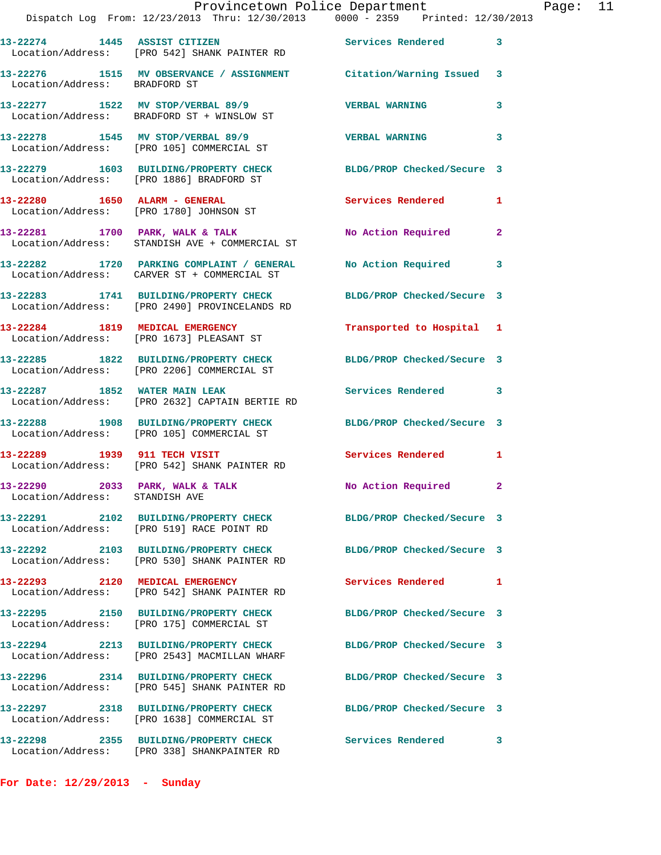|                                                                   | Provincetown Police Department<br>Dispatch Log From: 12/23/2013 Thru: 12/30/2013 0000 - 2359 Printed: 12/30/2013 |                            |   |
|-------------------------------------------------------------------|------------------------------------------------------------------------------------------------------------------|----------------------------|---|
|                                                                   | 13-22274 1445 ASSIST CITIZEN<br>Location/Address: [PRO 542] SHANK PAINTER RD                                     | <b>Services Rendered</b>   | 3 |
| Location/Address: BRADFORD ST                                     | 13-22276 1515 MV OBSERVANCE / ASSIGNMENT Citation/Warning Issued                                                 |                            | 3 |
|                                                                   | 13-22277 1522 MV STOP/VERBAL 89/9<br>Location/Address: BRADFORD ST + WINSLOW ST                                  | <b>VERBAL WARNING</b>      | 3 |
|                                                                   | 13-22278 1545 MV STOP/VERBAL 89/9<br>Location/Address: [PRO 105] COMMERCIAL ST                                   | <b>VERBAL WARNING</b>      | 3 |
|                                                                   | 13-22279 1603 BUILDING/PROPERTY CHECK<br>Location/Address: [PRO 1886] BRADFORD ST                                | BLDG/PROP Checked/Secure 3 |   |
|                                                                   | 13-22280 1650 ALARM - GENERAL<br>Location/Address: [PRO 1780] JOHNSON ST                                         | Services Rendered          | 1 |
|                                                                   | 13-22281 1700 PARK, WALK & TALK<br>Location/Address: STANDISH AVE + COMMERCIAL ST                                | No Action Required         | 2 |
|                                                                   | 13-22282 1720 PARKING COMPLAINT / GENERAL<br>Location/Address: CARVER ST + COMMERCIAL ST                         | No Action Required         | 3 |
|                                                                   | 13-22283 1741 BUILDING/PROPERTY CHECK<br>Location/Address: [PRO 2490] PROVINCELANDS RD                           | BLDG/PROP Checked/Secure 3 |   |
|                                                                   | 13-22284 1819 MEDICAL EMERGENCY<br>Location/Address: [PRO 1673] PLEASANT ST                                      | Transported to Hospital    | 1 |
|                                                                   | 13-22285 1822 BUILDING/PROPERTY CHECK<br>Location/Address: [PRO 2206] COMMERCIAL ST                              | BLDG/PROP Checked/Secure 3 |   |
|                                                                   | 13-22287 1852 WATER MAIN LEAK<br>Location/Address: [PRO 2632] CAPTAIN BERTIE RD                                  | Services Rendered          | 3 |
|                                                                   | 13-22288 1908 BUILDING/PROPERTY CHECK<br>Location/Address: [PRO 105] COMMERCIAL ST                               | BLDG/PROP Checked/Secure 3 |   |
|                                                                   | 13-22289 1939 911 TECH VISIT<br>Location/Address: [PRO 542] SHANK PAINTER RD                                     | <b>Services Rendered</b>   | 1 |
| 13-22290 2033 PARK, WALK & TALK<br>Location/Address: STANDISH AVE |                                                                                                                  | No Action Required         |   |
|                                                                   | 13-22291 2102 BUILDING/PROPERTY CHECK<br>Location/Address: [PRO 519] RACE POINT RD                               | BLDG/PROP Checked/Secure 3 |   |
|                                                                   | 13-22292 2103 BUILDING/PROPERTY CHECK<br>Location/Address: [PRO 530] SHANK PAINTER RD                            | BLDG/PROP Checked/Secure 3 |   |
|                                                                   | 13-22293 2120 MEDICAL EMERGENCY<br>Location/Address: [PRO 542] SHANK PAINTER RD                                  | Services Rendered          | 1 |
|                                                                   | 13-22295 2150 BUILDING/PROPERTY CHECK<br>Location/Address: [PRO 175] COMMERCIAL ST                               | BLDG/PROP Checked/Secure 3 |   |
|                                                                   | 13-22294 2213 BUILDING/PROPERTY CHECK<br>Location/Address: [PRO 2543] MACMILLAN WHARF                            | BLDG/PROP Checked/Secure 3 |   |
|                                                                   | 13-22296 2314 BUILDING/PROPERTY CHECK<br>Location/Address: [PRO 545] SHANK PAINTER RD                            | BLDG/PROP Checked/Secure 3 |   |
|                                                                   | 13-22297 2318 BUILDING/PROPERTY CHECK<br>Location/Address: [PRO 1638] COMMERCIAL ST                              | BLDG/PROP Checked/Secure 3 |   |
|                                                                   | 13-22298 2355 BUILDING/PROPERTY CHECK<br>Location/Address: [PRO 338] SHANKPAINTER RD                             | Services Rendered          | 3 |

Page: 11

**For Date: 12/29/2013 - Sunday**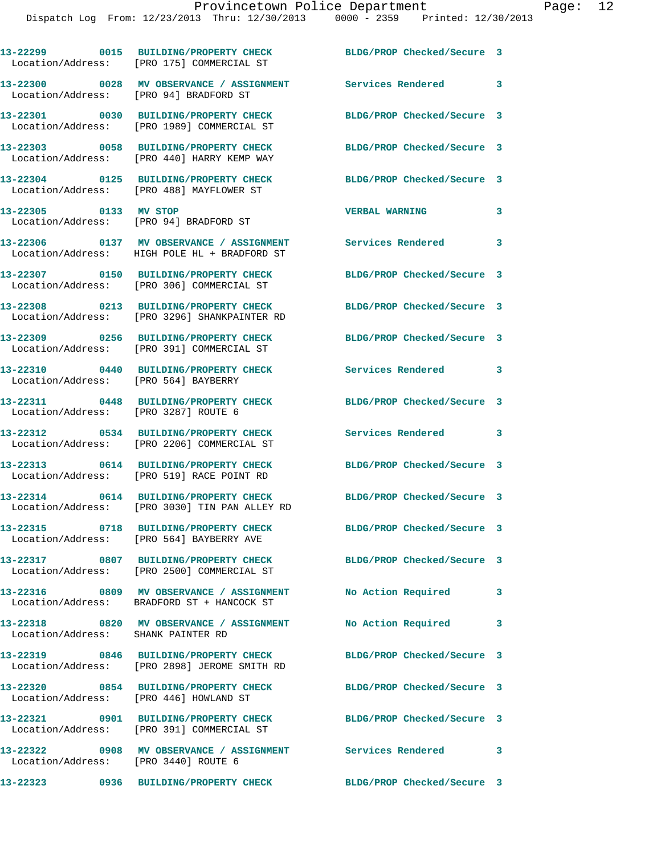|                                        | 13-22299 0015 BUILDING/PROPERTY CHECK<br>Location/Address: [PRO 175] COMMERCIAL ST                            | BLDG/PROP Checked/Secure 3 |                            |
|----------------------------------------|---------------------------------------------------------------------------------------------------------------|----------------------------|----------------------------|
|                                        | 13-22300 0028 MV OBSERVANCE / ASSIGNMENT<br>Location/Address: [PRO 94] BRADFORD ST                            | Services Rendered 3        |                            |
|                                        | 13-22301 0030 BUILDING/PROPERTY CHECK<br>Location/Address: [PRO 1989] COMMERCIAL ST                           | BLDG/PROP Checked/Secure 3 |                            |
|                                        | 13-22303 0058 BUILDING/PROPERTY CHECK<br>Location/Address: [PRO 440] HARRY KEMP WAY                           | BLDG/PROP Checked/Secure 3 |                            |
|                                        | 13-22304 0125 BUILDING/PROPERTY CHECK<br>Location/Address: [PRO 488] MAYFLOWER ST                             | BLDG/PROP Checked/Secure 3 |                            |
| 13-22305 0133 MV STOP                  | Location/Address: [PRO 94] BRADFORD ST                                                                        | <b>VERBAL WARNING</b>      | 3                          |
|                                        | 13-22306 0137 MV OBSERVANCE / ASSIGNMENT<br>Location/Address: HIGH POLE HL + BRADFORD ST                      | <b>Services Rendered</b>   | 3                          |
|                                        | 13-22307 0150 BUILDING/PROPERTY CHECK<br>Location/Address: [PRO 306] COMMERCIAL ST                            | BLDG/PROP Checked/Secure 3 |                            |
|                                        | 13-22308 0213 BUILDING/PROPERTY CHECK<br>Location/Address: [PRO 3296] SHANKPAINTER RD                         | BLDG/PROP Checked/Secure 3 |                            |
|                                        | 13-22309 0256 BUILDING/PROPERTY CHECK<br>Location/Address: [PRO 391] COMMERCIAL ST                            | BLDG/PROP Checked/Secure 3 |                            |
| Location/Address: [PRO 564] BAYBERRY   | 13-22310 0440 BUILDING/PROPERTY CHECK                                                                         | Services Rendered          | 3                          |
| Location/Address: [PRO 3287] ROUTE 6   | 13-22311 0448 BUILDING/PROPERTY CHECK                                                                         | BLDG/PROP Checked/Secure 3 |                            |
|                                        | 13-22312 0534 BUILDING/PROPERTY CHECK<br>Location/Address: [PRO 2206] COMMERCIAL ST                           | Services Rendered 3        |                            |
|                                        | 13-22313 0614 BUILDING/PROPERTY CHECK<br>Location/Address: [PRO 519] RACE POINT RD                            | BLDG/PROP Checked/Secure 3 |                            |
|                                        | 13-22314 0614 BUILDING/PROPERTY CHECK<br>Location/Address: [PRO 3030] TIN PAN ALLEY RD                        | BLDG/PROP Checked/Secure 3 |                            |
|                                        | 13-22315 0718 BUILDING/PROPERTY CHECK<br>Location/Address: [PRO 564] BAYBERRY AVE                             | BLDG/PROP Checked/Secure 3 |                            |
|                                        | 13-22317 0807 BUILDING/PROPERTY CHECK<br>Location/Address: [PRO 2500] COMMERCIAL ST                           | BLDG/PROP Checked/Secure 3 |                            |
|                                        | 13-22316 0809 MV OBSERVANCE / ASSIGNMENT<br>Location/Address: BRADFORD ST + HANCOCK ST                        | No Action Required         | $\overline{\phantom{a}}$ 3 |
| Location/Address: SHANK PAINTER RD     | 13-22318 0820 MV OBSERVANCE / ASSIGNMENT                                                                      | No Action Required         | $\mathbf{3}$               |
|                                        | 13-22319 0846 BUILDING/PROPERTY CHECK<br>Location/Address: [PRO 2898] JEROME SMITH RD                         | BLDG/PROP Checked/Secure 3 |                            |
| Location/Address: [PRO 446] HOWLAND ST | 13-22320 0854 BUILDING/PROPERTY CHECK                                                                         | BLDG/PROP Checked/Secure 3 |                            |
|                                        | 13-22321 0901 BUILDING/PROPERTY CHECK BLDG/PROP Checked/Secure 3<br>Location/Address: [PRO 391] COMMERCIAL ST |                            |                            |
| Location/Address: [PRO 3440] ROUTE 6   | 13-22322 0908 MV OBSERVANCE / ASSIGNMENT Services Rendered                                                    |                            | $\overline{\phantom{a}}$ 3 |
|                                        | 13-22323 0936 BUILDING/PROPERTY CHECK BLDG/PROP Checked/Secure 3                                              |                            |                            |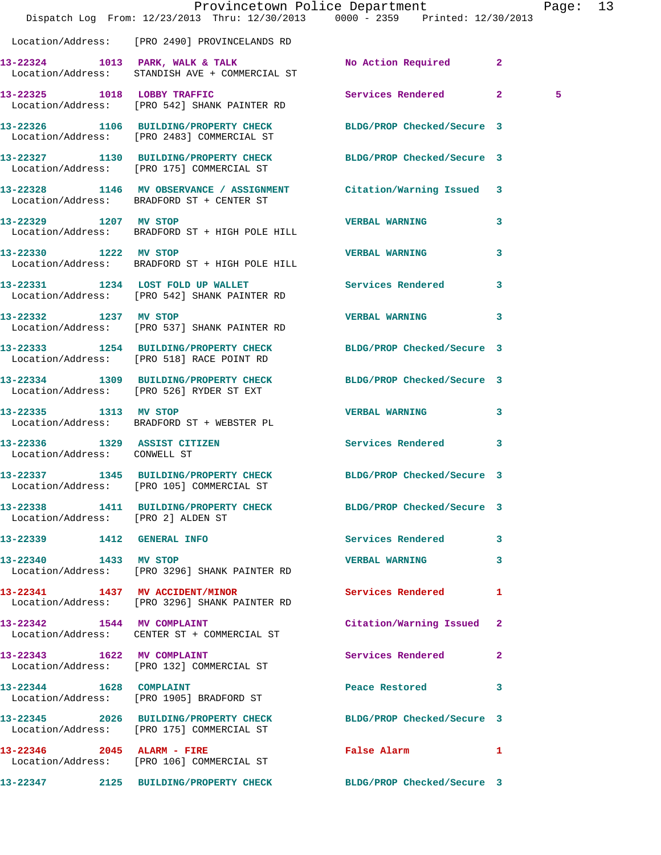|                                    |                                                                                                                 | Provincetown Police Department<br>Dispatch Log From: 12/23/2013 Thru: 12/30/2013 0000 - 2359 Printed: 12/30/2013 | Page: 13 |  |
|------------------------------------|-----------------------------------------------------------------------------------------------------------------|------------------------------------------------------------------------------------------------------------------|----------|--|
|                                    | Location/Address: [PRO 2490] PROVINCELANDS RD                                                                   |                                                                                                                  |          |  |
|                                    | 13-22324 1013 PARK, WALK & TALK<br>Location/Address: STANDISH AVE + COMMERCIAL ST                               | No Action Required 2                                                                                             |          |  |
|                                    | 13-22325 1018 LOBBY TRAFFIC<br>Location/Address: [PRO 542] SHANK PAINTER RD                                     | Services Rendered 2                                                                                              | 5        |  |
|                                    | 13-22326 1106 BUILDING/PROPERTY CHECK BLDG/PROP Checked/Secure 3<br>Location/Address: [PRO 2483] COMMERCIAL ST  |                                                                                                                  |          |  |
|                                    | 13-22327 1130 BUILDING/PROPERTY CHECK BLDG/PROP Checked/Secure 3<br>Location/Address: [PRO 175] COMMERCIAL ST   |                                                                                                                  |          |  |
|                                    | 13-22328 1146 MV OBSERVANCE / ASSIGNMENT Citation/Warning Issued 3<br>Location/Address: BRADFORD ST + CENTER ST |                                                                                                                  |          |  |
| 13-22329 1207 MV STOP              | Location/Address: BRADFORD ST + HIGH POLE HILL                                                                  | <b>VERBAL WARNING</b><br>3                                                                                       |          |  |
| 13-22330 1222 MV STOP              | Location/Address: BRADFORD ST + HIGH POLE HILL                                                                  | <b>VERBAL WARNING</b><br>3                                                                                       |          |  |
|                                    | 13-22331 1234 LOST FOLD UP WALLET<br>Location/Address: [PRO 542] SHANK PAINTER RD                               | Services Rendered 3                                                                                              |          |  |
| 13-22332 1237 MV STOP              | Location/Address: [PRO 537] SHANK PAINTER RD                                                                    | <b>VERBAL WARNING</b><br>3                                                                                       |          |  |
|                                    | 13-22333 1254 BUILDING/PROPERTY CHECK BLDG/PROP Checked/Secure 3<br>Location/Address: [PRO 518] RACE POINT RD   |                                                                                                                  |          |  |
|                                    | 13-22334 1309 BUILDING/PROPERTY CHECK BLDG/PROP Checked/Secure 3<br>Location/Address: [PRO 526] RYDER ST EXT    |                                                                                                                  |          |  |
| 13-22335 1313 MV STOP              | Location/Address: BRADFORD ST + WEBSTER PL                                                                      | <b>VERBAL WARNING</b><br>3                                                                                       |          |  |
| Location/Address: CONWELL ST       | 13-22336 1329 ASSIST CITIZEN                                                                                    | Services Rendered<br>3                                                                                           |          |  |
|                                    | 13-22337 1345 BUILDING/PROPERTY CHECK BLDG/PROP Checked/Secure 3<br>Location/Address: [PRO 105] COMMERCIAL ST   |                                                                                                                  |          |  |
| Location/Address: [PRO 2] ALDEN ST | 13-22338 1411 BUILDING/PROPERTY CHECK BLDG/PROP Checked/Secure 3                                                |                                                                                                                  |          |  |
| <b>13-22339 1412 GENERAL INFO</b>  |                                                                                                                 | Services Rendered 3                                                                                              |          |  |
| 13-22340 1433 MV STOP              | Location/Address: [PRO 3296] SHANK PAINTER RD                                                                   | <b>VERBAL WARNING</b><br>3                                                                                       |          |  |
|                                    | 13-22341 1437 MV ACCIDENT/MINOR<br>Location/Address: [PRO 3296] SHANK PAINTER RD                                | Services Rendered<br>-1                                                                                          |          |  |
| 13-22342 1544 MV COMPLAINT         | Location/Address: CENTER ST + COMMERCIAL ST                                                                     | Citation/Warning Issued 2                                                                                        |          |  |
|                                    | 13-22343 1622 MV COMPLAINT<br>Location/Address: [PRO 132] COMMERCIAL ST                                         | Services Rendered 2                                                                                              |          |  |
| 13-22344 1628 COMPLAINT            | Location/Address: [PRO 1905] BRADFORD ST                                                                        | Peace Restored <b>Seap</b><br>3                                                                                  |          |  |
|                                    | 13-22345 2026 BUILDING/PROPERTY CHECK<br>Location/Address: [PRO 175] COMMERCIAL ST                              | BLDG/PROP Checked/Secure 3                                                                                       |          |  |
|                                    | 13-22346 2045 ALARM - FIRE<br>Location/Address: [PRO 106] COMMERCIAL ST                                         | False Alarm<br>$\mathbf{1}$                                                                                      |          |  |
|                                    | 13-22347 2125 BUILDING/PROPERTY CHECK BLDG/PROP Checked/Secure 3                                                |                                                                                                                  |          |  |
|                                    |                                                                                                                 |                                                                                                                  |          |  |